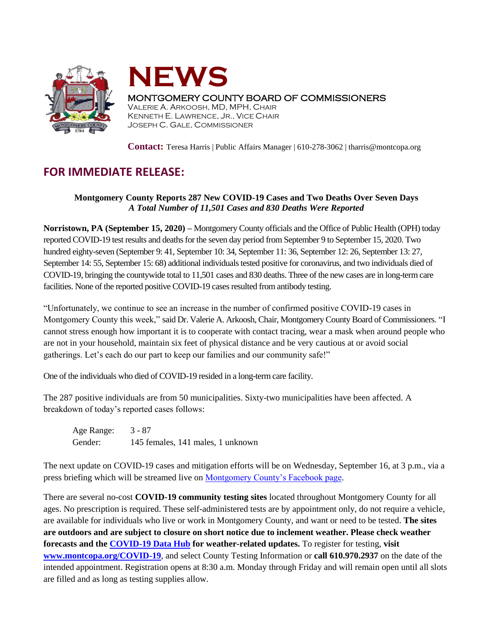



## MONTGOMERY COUNTY BOARD OF COMMISSIONERS

VALERIE A. ARKOOSH, MD, MPH, CHAIR KENNETH E. LAWRENCE, JR., VICE CHAIR JOSEPH C. GALE, COMMISSIONER

**Contact:** Teresa Harris | Public Affairs Manager | 610-278-3062 | tharris@montcopa.org

## **FOR IMMEDIATE RELEASE:**

## **Montgomery County Reports 287 New COVID-19 Cases and Two Deaths Over Seven Days** *A Total Number of 11,501 Cases and 830 Deaths Were Reported*

**Norristown, PA (September 15, 2020) –** Montgomery County officials and the Office of Public Health (OPH) today reported COVID-19 test results and deaths for the seven day period from September 9 to September 15, 2020. Two hundred eighty-seven (September 9: 41, September 10: 34, September 11: 36, September 12: 26, September 13: 27, September 14: 55, September 15: 68) additional individuals tested positive for coronavirus, and two individuals died of COVID-19, bringing the countywide total to 11,501 cases and 830 deaths. Three of the new cases are in long-term care facilities. None of the reported positive COVID-19 cases resulted from antibody testing.

"Unfortunately, we continue to see an increase in the number of confirmed positive COVID-19 cases in Montgomery County this week," said Dr. Valerie A. Arkoosh, Chair, Montgomery County Board of Commissioners. "I cannot stress enough how important it is to cooperate with contact tracing, wear a mask when around people who are not in your household, maintain six feet of physical distance and be very cautious at or avoid social gatherings. Let's each do our part to keep our families and our community safe!"

One of the individuals who died of COVID-19 resided in a long-term care facility.

The 287 positive individuals are from 50 municipalities. Sixty-two municipalities have been affected. A breakdown of today's reported cases follows:

Age Range: 3 - 87 Gender: 145 females, 141 males, 1 unknown

The next update on COVID-19 cases and mitigation efforts will be on Wednesday, September 16, at 3 p.m., via a press briefing which will be streamed live on [Montgomery County's Facebook page.](https://www.facebook.com/montgomery.county.pa/)

There are several no-cost **COVID-19 community testing sites** located throughout Montgomery County for all ages. No prescription is required. These self-administered tests are by appointment only, do not require a vehicle, are available for individuals who live or work in Montgomery County, and want or need to be tested. **The sites are outdoors and are subject to closure on short notice due to inclement weather. Please check weather forecasts and the [COVID-19 Data Hub](https://data-montcopa.opendata.arcgis.com/pages/covid-19) for weather-related updates.** To register for testing, **visit [www.montcopa.org/COVID-19](http://www.montcopa.org/COVID-19)**, and select County Testing Information or **call 610.970.2937** on the date of the intended appointment. Registration opens at 8:30 a.m. Monday through Friday and will remain open until all slots are filled and as long as testing supplies allow.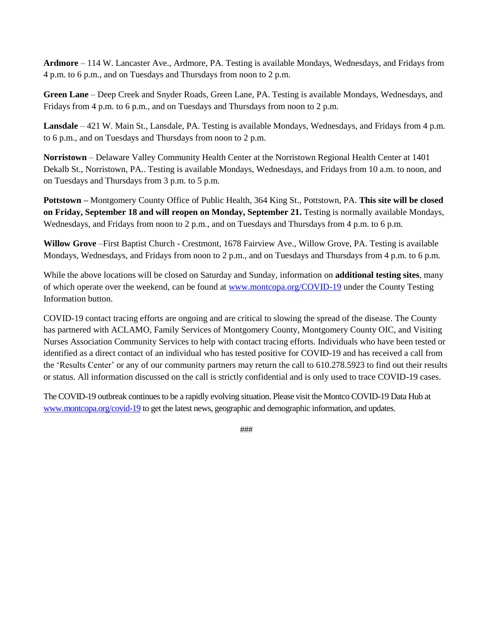**Ardmore** – 114 W. Lancaster Ave., Ardmore, PA. Testing is available Mondays, Wednesdays, and Fridays from 4 p.m. to 6 p.m., and on Tuesdays and Thursdays from noon to 2 p.m.

**Green Lane** – Deep Creek and Snyder Roads, Green Lane, PA. Testing is available Mondays, Wednesdays, and Fridays from 4 p.m. to 6 p.m., and on Tuesdays and Thursdays from noon to 2 p.m.

**Lansdale** – 421 W. Main St., Lansdale, PA. Testing is available Mondays, Wednesdays, and Fridays from 4 p.m. to 6 p.m., and on Tuesdays and Thursdays from noon to 2 p.m.

**Norristown** – Delaware Valley Community Health Center at the Norristown Regional Health Center at 1401 Dekalb St., Norristown, PA.. Testing is available Mondays, Wednesdays, and Fridays from 10 a.m. to noon, and on Tuesdays and Thursdays from 3 p.m. to 5 p.m.

**Pottstown –** Montgomery County Office of Public Health, 364 King St., Pottstown, PA. **This site will be closed on Friday, September 18 and will reopen on Monday, September 21.** Testing is normally available Mondays, Wednesdays, and Fridays from noon to 2 p.m., and on Tuesdays and Thursdays from 4 p.m. to 6 p.m.

**Willow Grove** –First Baptist Church - Crestmont, 1678 Fairview Ave., Willow Grove, PA. Testing is available Mondays, Wednesdays, and Fridays from noon to 2 p.m., and on Tuesdays and Thursdays from 4 p.m. to 6 p.m.

While the above locations will be closed on Saturday and Sunday, information on **additional testing sites**, many of which operate over the weekend, can be found at [www.montcopa.org/COVID-19](http://www.montcopa.org/COVID-19) under the County Testing Information button.

COVID-19 contact tracing efforts are ongoing and are critical to slowing the spread of the disease. The County has partnered with ACLAMO, Family Services of Montgomery County, Montgomery County OIC, and Visiting Nurses Association Community Services to help with contact tracing efforts. Individuals who have been tested or identified as a direct contact of an individual who has tested positive for COVID-19 and has received a call from the 'Results Center' or any of our community partners may return the call to 610.278.5923 to find out their results or status. All information discussed on the call is strictly confidential and is only used to trace COVID-19 cases.

The COVID-19 outbreak continues to be a rapidly evolving situation. Please visit the Montco COVID-19 Data Hub at [www.montcopa.org/covid-19](http://www.montcopa.org/covid-19) to get the latest news, geographic and demographic information, and updates.

###